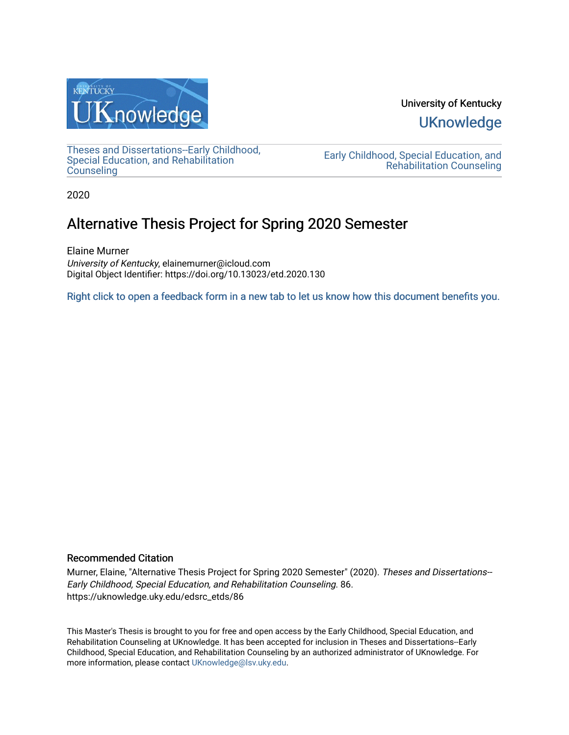

University of Kentucky **UKnowledge** 

[Theses and Dissertations--Early Childhood,](https://uknowledge.uky.edu/edsrc_etds)  [Special Education, and Rehabilitation](https://uknowledge.uky.edu/edsrc_etds)  **Counseling** 

[Early Childhood, Special Education, and](https://uknowledge.uky.edu/edsrc)  [Rehabilitation Counseling](https://uknowledge.uky.edu/edsrc) 

2020

# Alternative Thesis Project for Spring 2020 Semester

Elaine Murner University of Kentucky, elainemurner@icloud.com Digital Object Identifier: https://doi.org/10.13023/etd.2020.130

[Right click to open a feedback form in a new tab to let us know how this document benefits you.](https://uky.az1.qualtrics.com/jfe/form/SV_9mq8fx2GnONRfz7)

## Recommended Citation

Murner, Elaine, "Alternative Thesis Project for Spring 2020 Semester" (2020). Theses and Dissertations-- Early Childhood, Special Education, and Rehabilitation Counseling. 86. https://uknowledge.uky.edu/edsrc\_etds/86

This Master's Thesis is brought to you for free and open access by the Early Childhood, Special Education, and Rehabilitation Counseling at UKnowledge. It has been accepted for inclusion in Theses and Dissertations--Early Childhood, Special Education, and Rehabilitation Counseling by an authorized administrator of UKnowledge. For more information, please contact [UKnowledge@lsv.uky.edu](mailto:UKnowledge@lsv.uky.edu).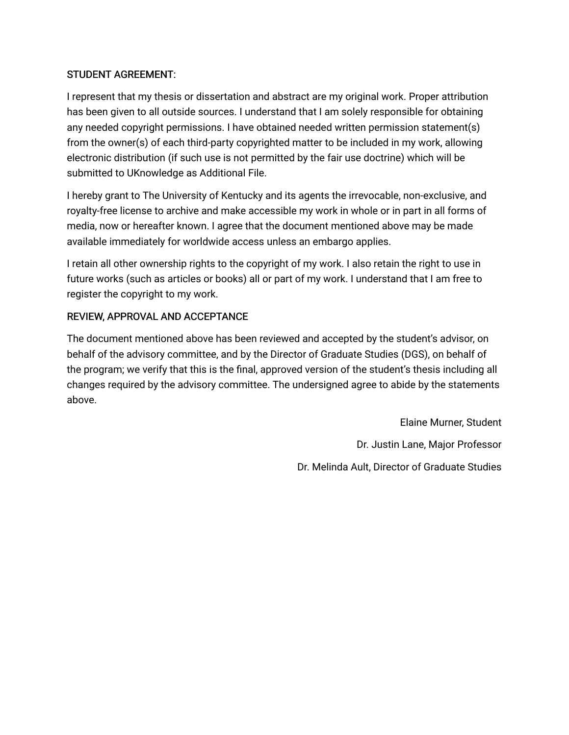# STUDENT AGREEMENT:

I represent that my thesis or dissertation and abstract are my original work. Proper attribution has been given to all outside sources. I understand that I am solely responsible for obtaining any needed copyright permissions. I have obtained needed written permission statement(s) from the owner(s) of each third-party copyrighted matter to be included in my work, allowing electronic distribution (if such use is not permitted by the fair use doctrine) which will be submitted to UKnowledge as Additional File.

I hereby grant to The University of Kentucky and its agents the irrevocable, non-exclusive, and royalty-free license to archive and make accessible my work in whole or in part in all forms of media, now or hereafter known. I agree that the document mentioned above may be made available immediately for worldwide access unless an embargo applies.

I retain all other ownership rights to the copyright of my work. I also retain the right to use in future works (such as articles or books) all or part of my work. I understand that I am free to register the copyright to my work.

# REVIEW, APPROVAL AND ACCEPTANCE

The document mentioned above has been reviewed and accepted by the student's advisor, on behalf of the advisory committee, and by the Director of Graduate Studies (DGS), on behalf of the program; we verify that this is the final, approved version of the student's thesis including all changes required by the advisory committee. The undersigned agree to abide by the statements above.

> Elaine Murner, Student Dr. Justin Lane, Major Professor Dr. Melinda Ault, Director of Graduate Studies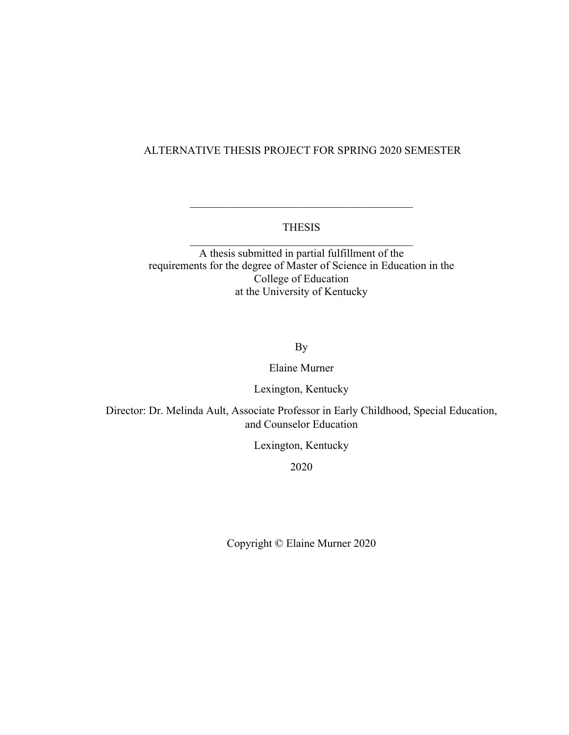# ALTERNATIVE THESIS PROJECT FOR SPRING 2020 SEMESTER

# THESIS  $\mathcal{L}_\text{max}$  , and the contract of the contract of the contract of the contract of the contract of the contract of the contract of the contract of the contract of the contract of the contract of the contract of the contr

 $\mathcal{L}_\text{max}$ 

A thesis submitted in partial fulfillment of the requirements for the degree of Master of Science in Education in the College of Education at the University of Kentucky

By

Elaine Murner

Lexington, Kentucky

Director: Dr. Melinda Ault, Associate Professor in Early Childhood, Special Education, and Counselor Education

Lexington, Kentucky

2020

Copyright © Elaine Murner 2020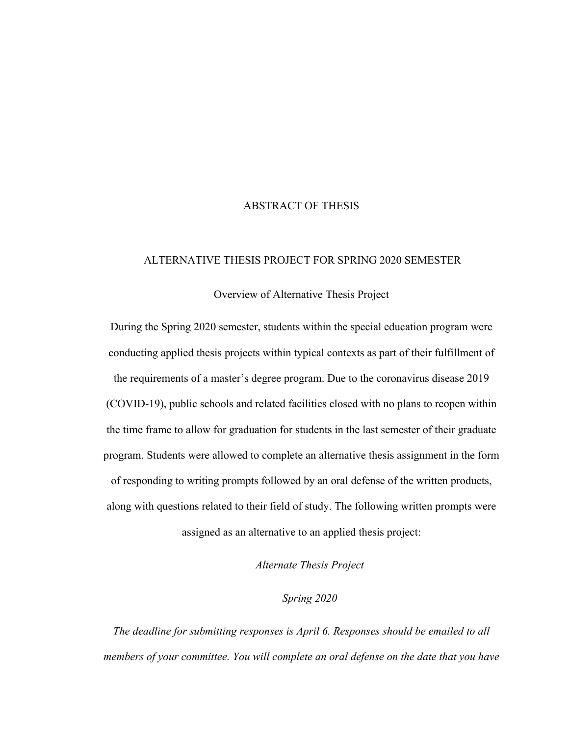### ABSTRACT OF THESIS

### ALTERNATIVE THESIS PROJECT FOR SPRING 2020 SEMESTER

#### Overview of Alternative Thesis Project

During the Spring 2020 semester, students within the special education program were conducting applied thesis projects within typical contexts as part of their fulfillment of the requirements of a master's degree program. Due to the coronavirus disease 2019 (COVID-19), public schools and related facilities closed with no plans to reopen within the time frame to allow for graduation for students in the last semester of their graduate program. Students were allowed to complete an alternative thesis assignment in the form of responding to writing prompts followed by an oral defense of the written products, along with questions related to their field of study. The following written prompts were assigned as an alternative to an applied thesis project:

*Alternate Thesis Project* 

*Spring 2020*

*The deadline for submitting responses is April 6. Responses should be emailed to all members of your committee. You will complete an oral defense on the date that you have*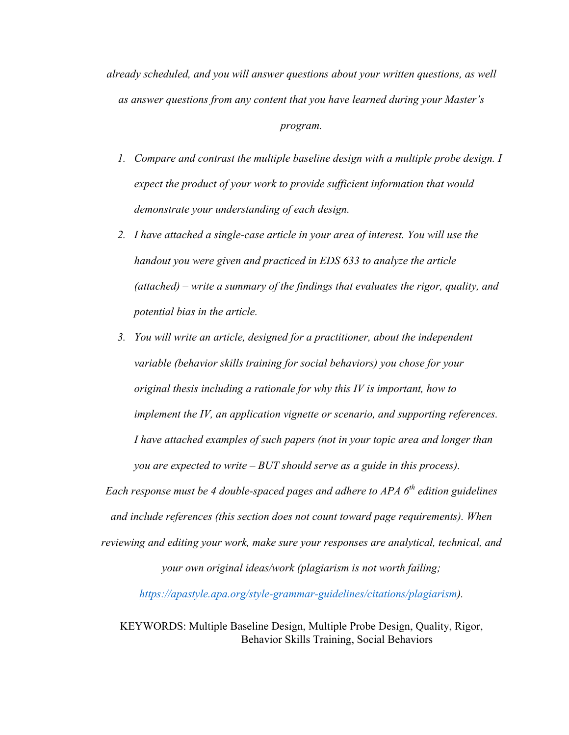*already scheduled, and you will answer questions about your written questions, as well as answer questions from any content that you have learned during your Master's* 

#### *program.*

- *1. Compare and contrast the multiple baseline design with a multiple probe design. I expect the product of your work to provide sufficient information that would demonstrate your understanding of each design.*
- *2. I have attached a single-case article in your area of interest. You will use the handout you were given and practiced in EDS 633 to analyze the article (attached) – write a summary of the findings that evaluates the rigor, quality, and potential bias in the article.*
- *3. You will write an article, designed for a practitioner, about the independent variable (behavior skills training for social behaviors) you chose for your original thesis including a rationale for why this IV is important, how to implement the IV, an application vignette or scenario, and supporting references. I have attached examples of such papers (not in your topic area and longer than you are expected to write – BUT should serve as a guide in this process).*

*Each response must be 4 double-spaced pages and adhere to APA 6th edition guidelines and include references (this section does not count toward page requirements). When reviewing and editing your work, make sure your responses are analytical, technical, and* 

*your own original ideas/work (plagiarism is not worth failing;* 

*https://apastyle.apa.org/style-grammar-guidelines/citations/plagiarism).*

KEYWORDS: Multiple Baseline Design, Multiple Probe Design, Quality, Rigor, Behavior Skills Training, Social Behaviors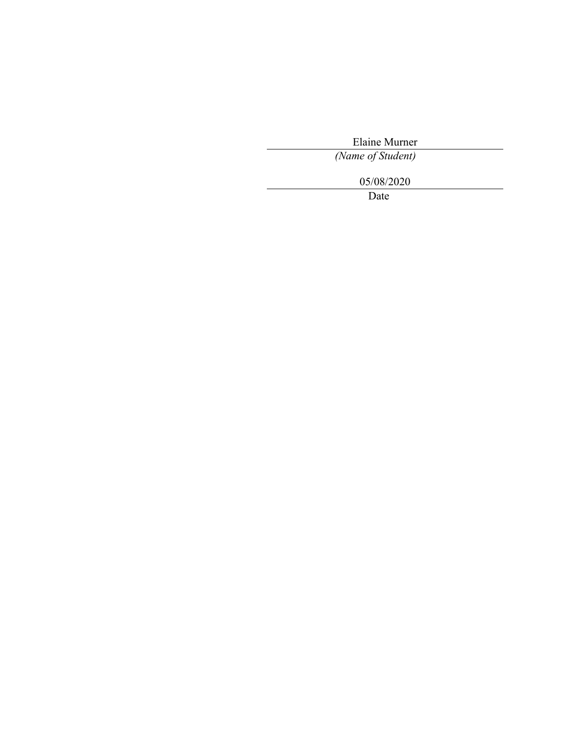Elaine Murner

*(Name of Student)*

05/08/2020

Date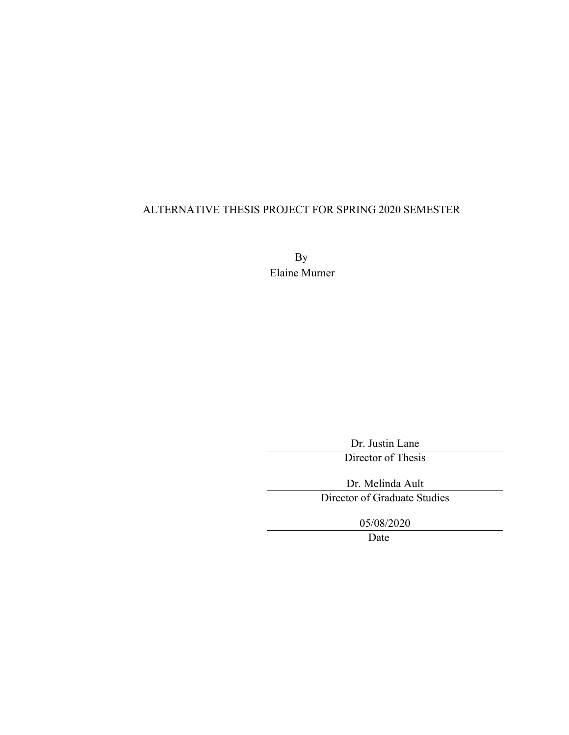# ALTERNATIVE THESIS PROJECT FOR SPRING 2020 SEMESTER

By Elaine Murner

> Dr. Justin Lane Director of Thesis

Dr. Melinda Ault Director of Graduate Studies

05/08/2020

Date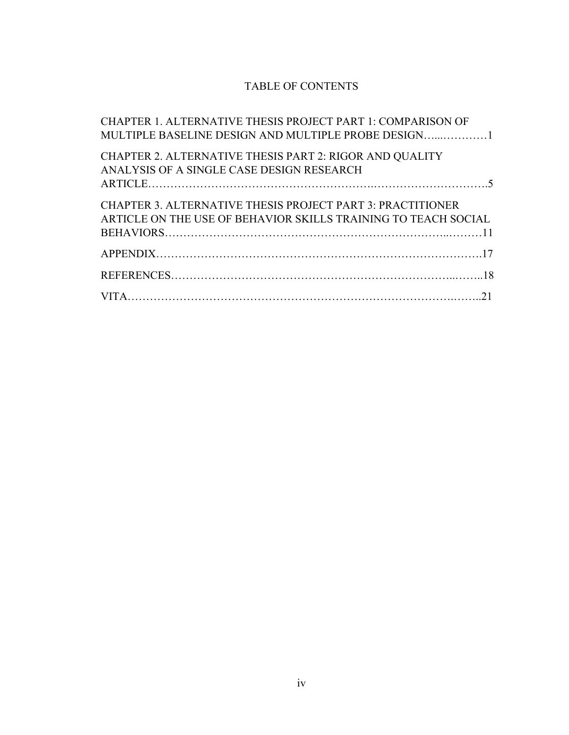# TABLE OF CONTENTS

| CHAPTER 1. ALTERNATIVE THESIS PROJECT PART 1: COMPARISON OF       |
|-------------------------------------------------------------------|
|                                                                   |
| <b>CHAPTER 2. ALTERNATIVE THESIS PART 2: RIGOR AND QUALITY</b>    |
| ANALYSIS OF A SINGLE CASE DESIGN RESEARCH                         |
|                                                                   |
| <b>CHAPTER 3. ALTERNATIVE THESIS PROJECT PART 3: PRACTITIONER</b> |
| ARTICLE ON THE USE OF BEHAVIOR SKILLS TRAINING TO TEACH SOCIAL    |
|                                                                   |
|                                                                   |
|                                                                   |
|                                                                   |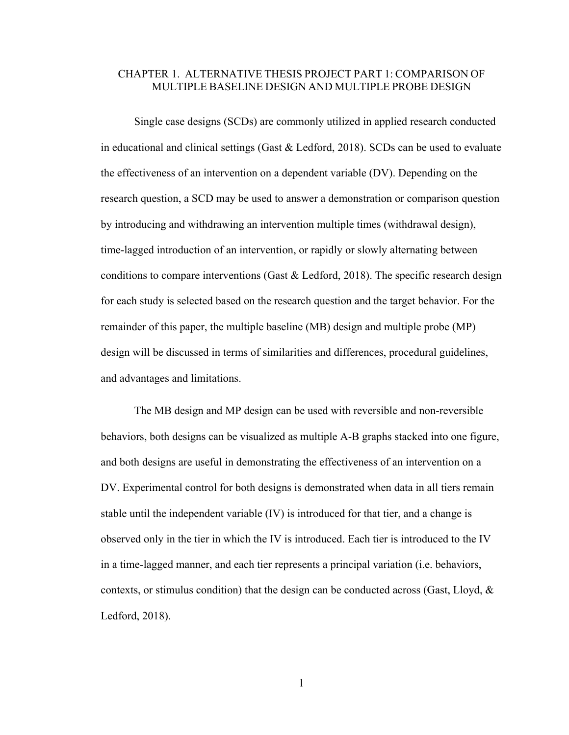# CHAPTER 1. ALTERNATIVE THESIS PROJECT PART 1: COMPARISON OF MULTIPLE BASELINE DESIGN AND MULTIPLE PROBE DESIGN

Single case designs (SCDs) are commonly utilized in applied research conducted in educational and clinical settings (Gast & Ledford, 2018). SCDs can be used to evaluate the effectiveness of an intervention on a dependent variable (DV). Depending on the research question, a SCD may be used to answer a demonstration or comparison question by introducing and withdrawing an intervention multiple times (withdrawal design), time-lagged introduction of an intervention, or rapidly or slowly alternating between conditions to compare interventions (Gast & Ledford, 2018). The specific research design for each study is selected based on the research question and the target behavior. For the remainder of this paper, the multiple baseline (MB) design and multiple probe (MP) design will be discussed in terms of similarities and differences, procedural guidelines, and advantages and limitations.

The MB design and MP design can be used with reversible and non-reversible behaviors, both designs can be visualized as multiple A-B graphs stacked into one figure, and both designs are useful in demonstrating the effectiveness of an intervention on a DV. Experimental control for both designs is demonstrated when data in all tiers remain stable until the independent variable (IV) is introduced for that tier, and a change is observed only in the tier in which the IV is introduced. Each tier is introduced to the IV in a time-lagged manner, and each tier represents a principal variation (i.e. behaviors, contexts, or stimulus condition) that the design can be conducted across (Gast, Lloyd,  $\&$ Ledford, 2018).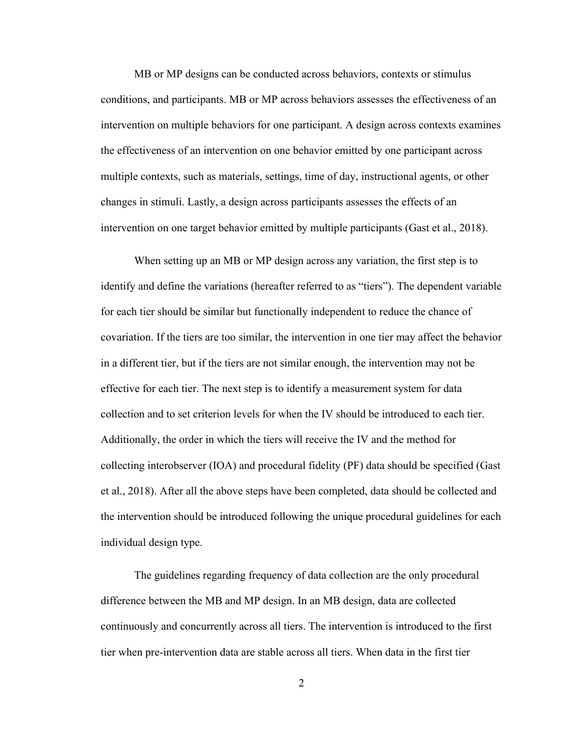MB or MP designs can be conducted across behaviors, contexts or stimulus conditions, and participants. MB or MP across behaviors assesses the effectiveness of an intervention on multiple behaviors for one participant. A design across contexts examines the effectiveness of an intervention on one behavior emitted by one participant across multiple contexts, such as materials, settings, time of day, instructional agents, or other changes in stimuli. Lastly, a design across participants assesses the effects of an intervention on one target behavior emitted by multiple participants (Gast et al., 2018).

When setting up an MB or MP design across any variation, the first step is to identify and define the variations (hereafter referred to as "tiers"). The dependent variable for each tier should be similar but functionally independent to reduce the chance of covariation. If the tiers are too similar, the intervention in one tier may affect the behavior in a different tier, but if the tiers are not similar enough, the intervention may not be effective for each tier. The next step is to identify a measurement system for data collection and to set criterion levels for when the IV should be introduced to each tier. Additionally, the order in which the tiers will receive the IV and the method for collecting interobserver (IOA) and procedural fidelity (PF) data should be specified (Gast et al., 2018). After all the above steps have been completed, data should be collected and the intervention should be introduced following the unique procedural guidelines for each individual design type.

The guidelines regarding frequency of data collection are the only procedural difference between the MB and MP design. In an MB design, data are collected continuously and concurrently across all tiers. The intervention is introduced to the first tier when pre-intervention data are stable across all tiers. When data in the first tier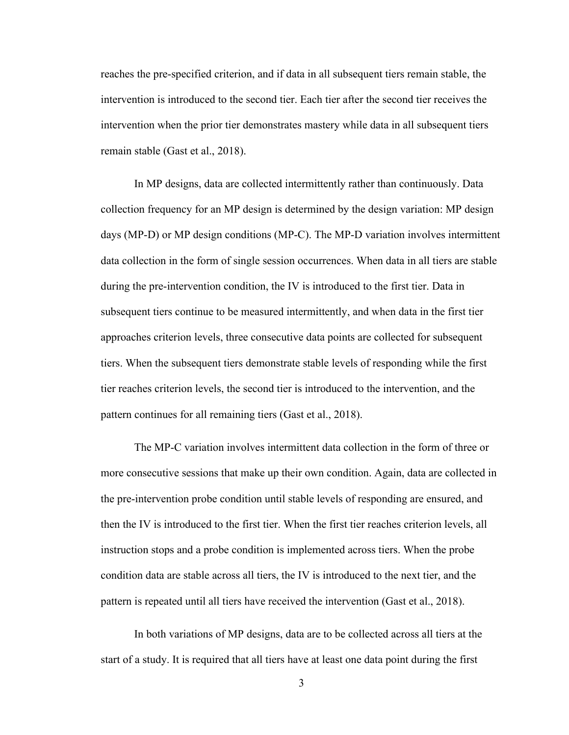reaches the pre-specified criterion, and if data in all subsequent tiers remain stable, the intervention is introduced to the second tier. Each tier after the second tier receives the intervention when the prior tier demonstrates mastery while data in all subsequent tiers remain stable (Gast et al., 2018).

In MP designs, data are collected intermittently rather than continuously. Data collection frequency for an MP design is determined by the design variation: MP design days (MP-D) or MP design conditions (MP-C). The MP-D variation involves intermittent data collection in the form of single session occurrences. When data in all tiers are stable during the pre-intervention condition, the IV is introduced to the first tier. Data in subsequent tiers continue to be measured intermittently, and when data in the first tier approaches criterion levels, three consecutive data points are collected for subsequent tiers. When the subsequent tiers demonstrate stable levels of responding while the first tier reaches criterion levels, the second tier is introduced to the intervention, and the pattern continues for all remaining tiers (Gast et al., 2018).

The MP-C variation involves intermittent data collection in the form of three or more consecutive sessions that make up their own condition. Again, data are collected in the pre-intervention probe condition until stable levels of responding are ensured, and then the IV is introduced to the first tier. When the first tier reaches criterion levels, all instruction stops and a probe condition is implemented across tiers. When the probe condition data are stable across all tiers, the IV is introduced to the next tier, and the pattern is repeated until all tiers have received the intervention (Gast et al., 2018).

In both variations of MP designs, data are to be collected across all tiers at the start of a study. It is required that all tiers have at least one data point during the first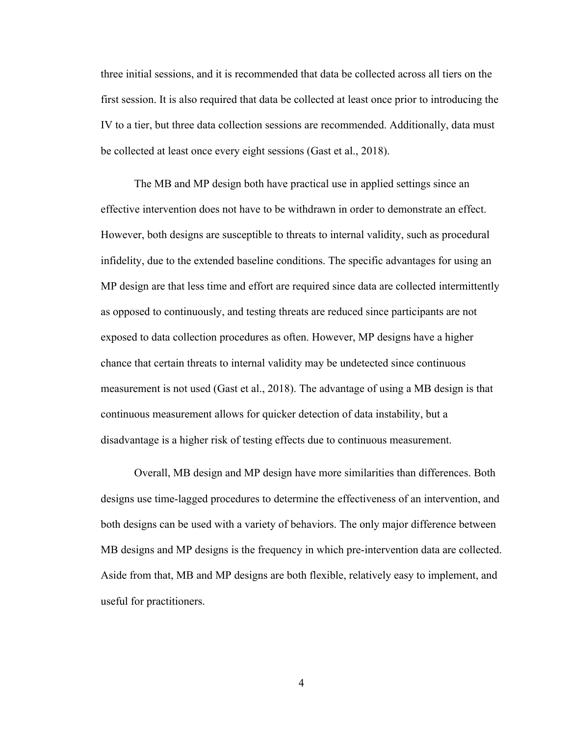three initial sessions, and it is recommended that data be collected across all tiers on the first session. It is also required that data be collected at least once prior to introducing the IV to a tier, but three data collection sessions are recommended. Additionally, data must be collected at least once every eight sessions (Gast et al., 2018).

The MB and MP design both have practical use in applied settings since an effective intervention does not have to be withdrawn in order to demonstrate an effect. However, both designs are susceptible to threats to internal validity, such as procedural infidelity, due to the extended baseline conditions. The specific advantages for using an MP design are that less time and effort are required since data are collected intermittently as opposed to continuously, and testing threats are reduced since participants are not exposed to data collection procedures as often. However, MP designs have a higher chance that certain threats to internal validity may be undetected since continuous measurement is not used (Gast et al., 2018). The advantage of using a MB design is that continuous measurement allows for quicker detection of data instability, but a disadvantage is a higher risk of testing effects due to continuous measurement.

Overall, MB design and MP design have more similarities than differences. Both designs use time-lagged procedures to determine the effectiveness of an intervention, and both designs can be used with a variety of behaviors. The only major difference between MB designs and MP designs is the frequency in which pre-intervention data are collected. Aside from that, MB and MP designs are both flexible, relatively easy to implement, and useful for practitioners.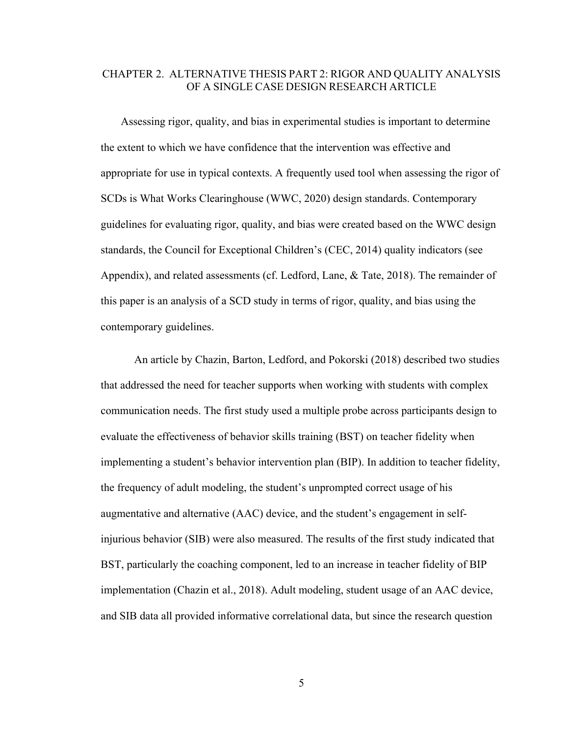# CHAPTER 2. ALTERNATIVE THESIS PART 2: RIGOR AND QUALITY ANALYSIS OF A SINGLE CASE DESIGN RESEARCH ARTICLE

Assessing rigor, quality, and bias in experimental studies is important to determine the extent to which we have confidence that the intervention was effective and appropriate for use in typical contexts. A frequently used tool when assessing the rigor of SCDs is What Works Clearinghouse (WWC, 2020) design standards. Contemporary guidelines for evaluating rigor, quality, and bias were created based on the WWC design standards, the Council for Exceptional Children's (CEC, 2014) quality indicators (see Appendix), and related assessments (cf. Ledford, Lane, & Tate, 2018). The remainder of this paper is an analysis of a SCD study in terms of rigor, quality, and bias using the contemporary guidelines.

An article by Chazin, Barton, Ledford, and Pokorski (2018) described two studies that addressed the need for teacher supports when working with students with complex communication needs. The first study used a multiple probe across participants design to evaluate the effectiveness of behavior skills training (BST) on teacher fidelity when implementing a student's behavior intervention plan (BIP). In addition to teacher fidelity, the frequency of adult modeling, the student's unprompted correct usage of his augmentative and alternative (AAC) device, and the student's engagement in selfinjurious behavior (SIB) were also measured. The results of the first study indicated that BST, particularly the coaching component, led to an increase in teacher fidelity of BIP implementation (Chazin et al., 2018). Adult modeling, student usage of an AAC device, and SIB data all provided informative correlational data, but since the research question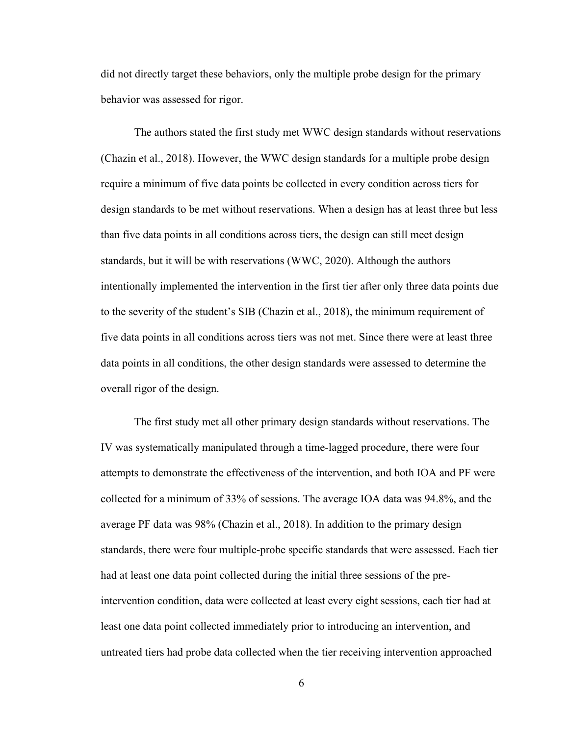did not directly target these behaviors, only the multiple probe design for the primary behavior was assessed for rigor.

The authors stated the first study met WWC design standards without reservations (Chazin et al., 2018). However, the WWC design standards for a multiple probe design require a minimum of five data points be collected in every condition across tiers for design standards to be met without reservations. When a design has at least three but less than five data points in all conditions across tiers, the design can still meet design standards, but it will be with reservations (WWC, 2020). Although the authors intentionally implemented the intervention in the first tier after only three data points due to the severity of the student's SIB (Chazin et al., 2018), the minimum requirement of five data points in all conditions across tiers was not met. Since there were at least three data points in all conditions, the other design standards were assessed to determine the overall rigor of the design.

The first study met all other primary design standards without reservations. The IV was systematically manipulated through a time-lagged procedure, there were four attempts to demonstrate the effectiveness of the intervention, and both IOA and PF were collected for a minimum of 33% of sessions. The average IOA data was 94.8%, and the average PF data was 98% (Chazin et al., 2018). In addition to the primary design standards, there were four multiple-probe specific standards that were assessed. Each tier had at least one data point collected during the initial three sessions of the preintervention condition, data were collected at least every eight sessions, each tier had at least one data point collected immediately prior to introducing an intervention, and untreated tiers had probe data collected when the tier receiving intervention approached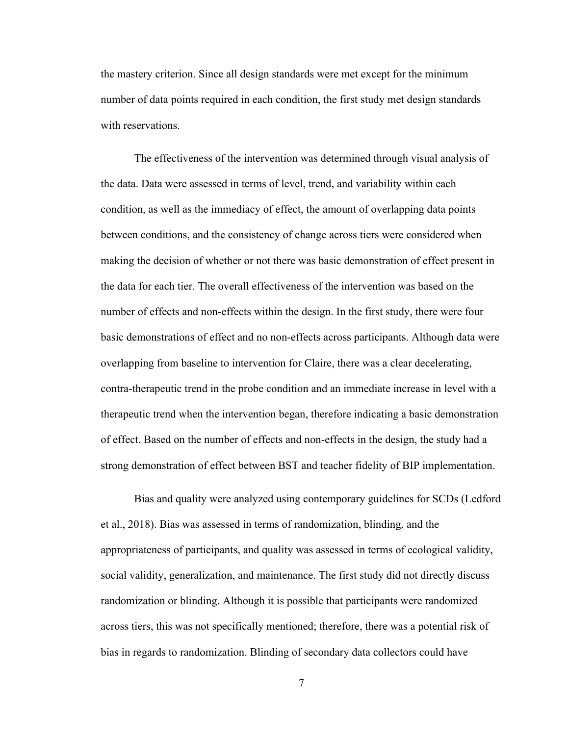the mastery criterion. Since all design standards were met except for the minimum number of data points required in each condition, the first study met design standards with reservations.

The effectiveness of the intervention was determined through visual analysis of the data. Data were assessed in terms of level, trend, and variability within each condition, as well as the immediacy of effect, the amount of overlapping data points between conditions, and the consistency of change across tiers were considered when making the decision of whether or not there was basic demonstration of effect present in the data for each tier. The overall effectiveness of the intervention was based on the number of effects and non-effects within the design. In the first study, there were four basic demonstrations of effect and no non-effects across participants. Although data were overlapping from baseline to intervention for Claire, there was a clear decelerating, contra-therapeutic trend in the probe condition and an immediate increase in level with a therapeutic trend when the intervention began, therefore indicating a basic demonstration of effect. Based on the number of effects and non-effects in the design, the study had a strong demonstration of effect between BST and teacher fidelity of BIP implementation.

Bias and quality were analyzed using contemporary guidelines for SCDs (Ledford et al., 2018). Bias was assessed in terms of randomization, blinding, and the appropriateness of participants, and quality was assessed in terms of ecological validity, social validity, generalization, and maintenance. The first study did not directly discuss randomization or blinding. Although it is possible that participants were randomized across tiers, this was not specifically mentioned; therefore, there was a potential risk of bias in regards to randomization. Blinding of secondary data collectors could have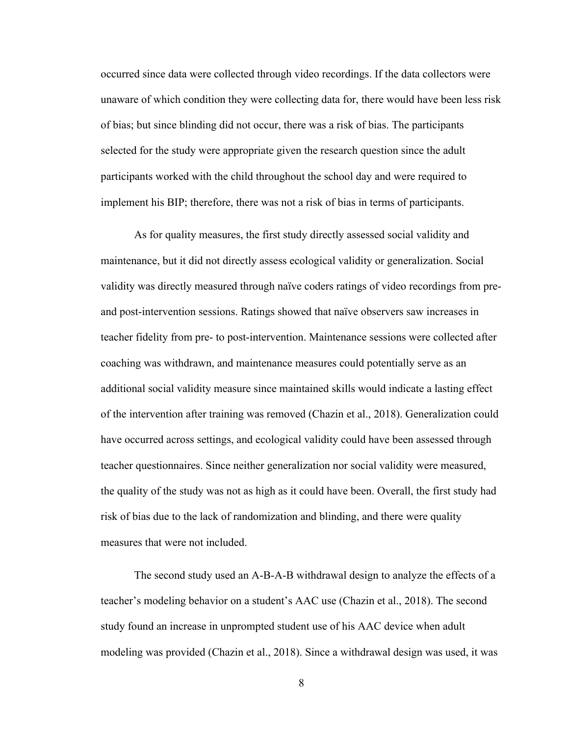occurred since data were collected through video recordings. If the data collectors were unaware of which condition they were collecting data for, there would have been less risk of bias; but since blinding did not occur, there was a risk of bias. The participants selected for the study were appropriate given the research question since the adult participants worked with the child throughout the school day and were required to implement his BIP; therefore, there was not a risk of bias in terms of participants.

As for quality measures, the first study directly assessed social validity and maintenance, but it did not directly assess ecological validity or generalization. Social validity was directly measured through naïve coders ratings of video recordings from preand post-intervention sessions. Ratings showed that naïve observers saw increases in teacher fidelity from pre- to post-intervention. Maintenance sessions were collected after coaching was withdrawn, and maintenance measures could potentially serve as an additional social validity measure since maintained skills would indicate a lasting effect of the intervention after training was removed (Chazin et al., 2018). Generalization could have occurred across settings, and ecological validity could have been assessed through teacher questionnaires. Since neither generalization nor social validity were measured, the quality of the study was not as high as it could have been. Overall, the first study had risk of bias due to the lack of randomization and blinding, and there were quality measures that were not included.

The second study used an A-B-A-B withdrawal design to analyze the effects of a teacher's modeling behavior on a student's AAC use (Chazin et al., 2018). The second study found an increase in unprompted student use of his AAC device when adult modeling was provided (Chazin et al., 2018). Since a withdrawal design was used, it was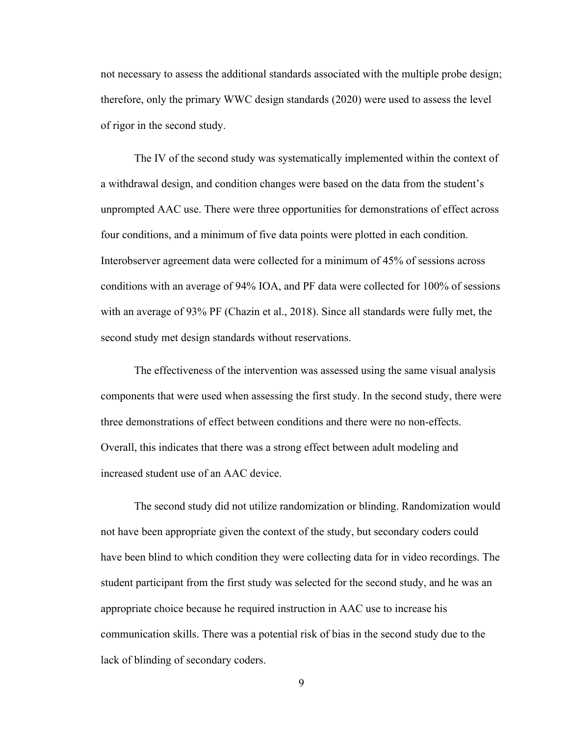not necessary to assess the additional standards associated with the multiple probe design; therefore, only the primary WWC design standards (2020) were used to assess the level of rigor in the second study.

The IV of the second study was systematically implemented within the context of a withdrawal design, and condition changes were based on the data from the student's unprompted AAC use. There were three opportunities for demonstrations of effect across four conditions, and a minimum of five data points were plotted in each condition. Interobserver agreement data were collected for a minimum of 45% of sessions across conditions with an average of 94% IOA, and PF data were collected for 100% of sessions with an average of 93% PF (Chazin et al., 2018). Since all standards were fully met, the second study met design standards without reservations.

The effectiveness of the intervention was assessed using the same visual analysis components that were used when assessing the first study. In the second study, there were three demonstrations of effect between conditions and there were no non-effects. Overall, this indicates that there was a strong effect between adult modeling and increased student use of an AAC device.

The second study did not utilize randomization or blinding. Randomization would not have been appropriate given the context of the study, but secondary coders could have been blind to which condition they were collecting data for in video recordings. The student participant from the first study was selected for the second study, and he was an appropriate choice because he required instruction in AAC use to increase his communication skills. There was a potential risk of bias in the second study due to the lack of blinding of secondary coders.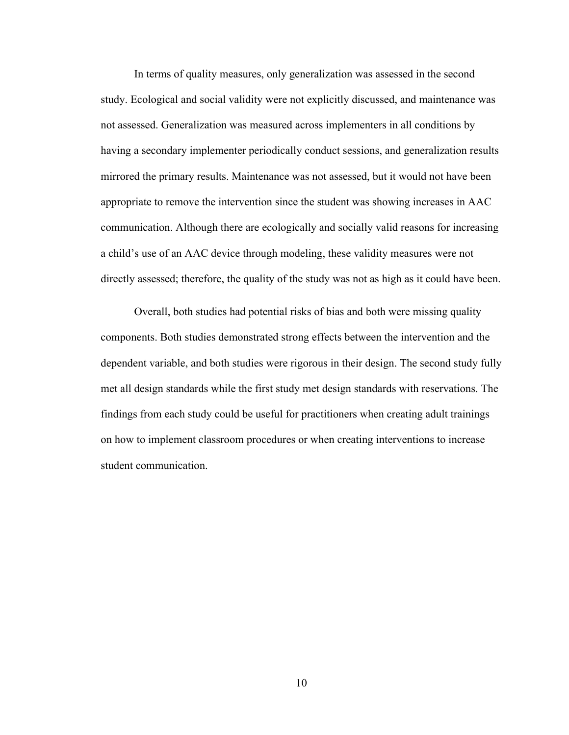In terms of quality measures, only generalization was assessed in the second study. Ecological and social validity were not explicitly discussed, and maintenance was not assessed. Generalization was measured across implementers in all conditions by having a secondary implementer periodically conduct sessions, and generalization results mirrored the primary results. Maintenance was not assessed, but it would not have been appropriate to remove the intervention since the student was showing increases in AAC communication. Although there are ecologically and socially valid reasons for increasing a child's use of an AAC device through modeling, these validity measures were not directly assessed; therefore, the quality of the study was not as high as it could have been.

Overall, both studies had potential risks of bias and both were missing quality components. Both studies demonstrated strong effects between the intervention and the dependent variable, and both studies were rigorous in their design. The second study fully met all design standards while the first study met design standards with reservations. The findings from each study could be useful for practitioners when creating adult trainings on how to implement classroom procedures or when creating interventions to increase student communication.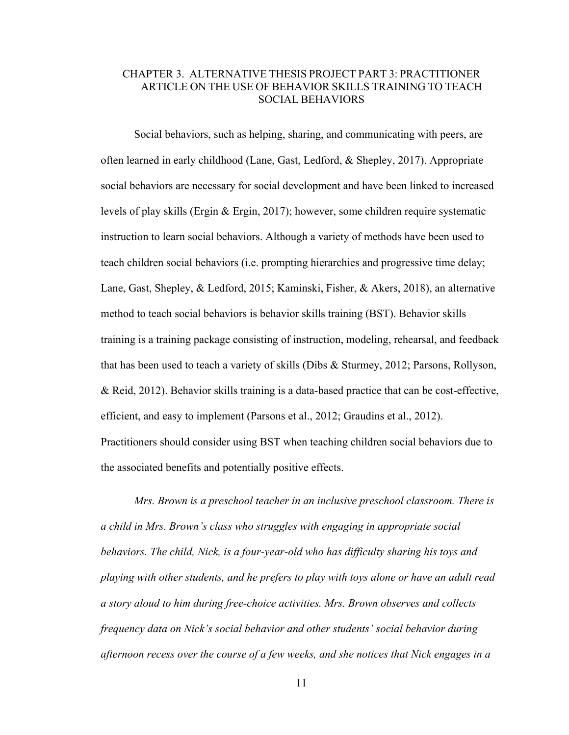# CHAPTER 3. ALTERNATIVE THESIS PROJECT PART 3: PRACTITIONER ARTICLE ON THE USE OF BEHAVIOR SKILLS TRAINING TO TEACH SOCIAL BEHAVIORS

Social behaviors, such as helping, sharing, and communicating with peers, are often learned in early childhood (Lane, Gast, Ledford, & Shepley, 2017). Appropriate social behaviors are necessary for social development and have been linked to increased levels of play skills (Ergin & Ergin, 2017); however, some children require systematic instruction to learn social behaviors. Although a variety of methods have been used to teach children social behaviors (i.e. prompting hierarchies and progressive time delay; Lane, Gast, Shepley, & Ledford, 2015; Kaminski, Fisher, & Akers, 2018), an alternative method to teach social behaviors is behavior skills training (BST). Behavior skills training is a training package consisting of instruction, modeling, rehearsal, and feedback that has been used to teach a variety of skills (Dibs & Sturmey, 2012; Parsons, Rollyson, & Reid, 2012). Behavior skills training is a data-based practice that can be cost-effective, efficient, and easy to implement (Parsons et al., 2012; Graudins et al., 2012). Practitioners should consider using BST when teaching children social behaviors due to the associated benefits and potentially positive effects.

*Mrs. Brown is a preschool teacher in an inclusive preschool classroom. There is a child in Mrs. Brown's class who struggles with engaging in appropriate social behaviors. The child, Nick, is a four-year-old who has difficulty sharing his toys and playing with other students, and he prefers to play with toys alone or have an adult read a story aloud to him during free-choice activities. Mrs. Brown observes and collects frequency data on Nick's social behavior and other students' social behavior during afternoon recess over the course of a few weeks, and she notices that Nick engages in a*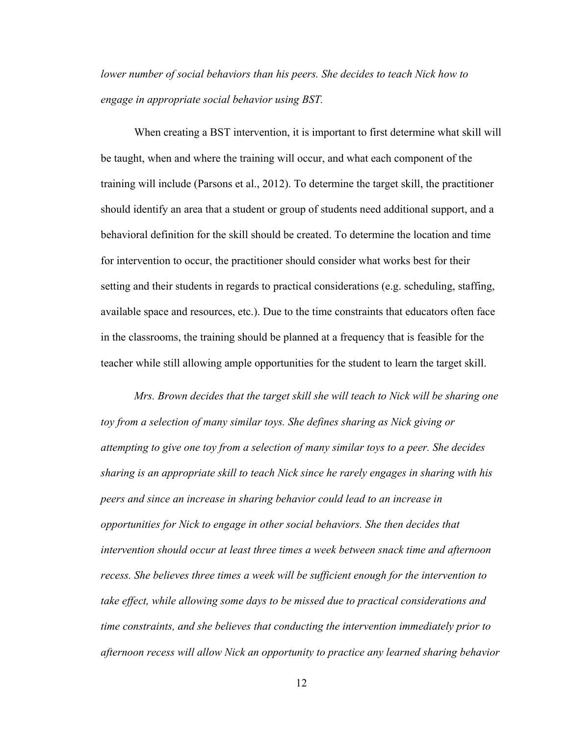*lower number of social behaviors than his peers. She decides to teach Nick how to engage in appropriate social behavior using BST.*

When creating a BST intervention, it is important to first determine what skill will be taught, when and where the training will occur, and what each component of the training will include (Parsons et al., 2012). To determine the target skill, the practitioner should identify an area that a student or group of students need additional support, and a behavioral definition for the skill should be created. To determine the location and time for intervention to occur, the practitioner should consider what works best for their setting and their students in regards to practical considerations (e.g. scheduling, staffing, available space and resources, etc.). Due to the time constraints that educators often face in the classrooms, the training should be planned at a frequency that is feasible for the teacher while still allowing ample opportunities for the student to learn the target skill.

*Mrs. Brown decides that the target skill she will teach to Nick will be sharing one toy from a selection of many similar toys. She defines sharing as Nick giving or attempting to give one toy from a selection of many similar toys to a peer. She decides sharing is an appropriate skill to teach Nick since he rarely engages in sharing with his peers and since an increase in sharing behavior could lead to an increase in opportunities for Nick to engage in other social behaviors. She then decides that intervention should occur at least three times a week between snack time and afternoon recess. She believes three times a week will be sufficient enough for the intervention to take effect, while allowing some days to be missed due to practical considerations and time constraints, and she believes that conducting the intervention immediately prior to afternoon recess will allow Nick an opportunity to practice any learned sharing behavior*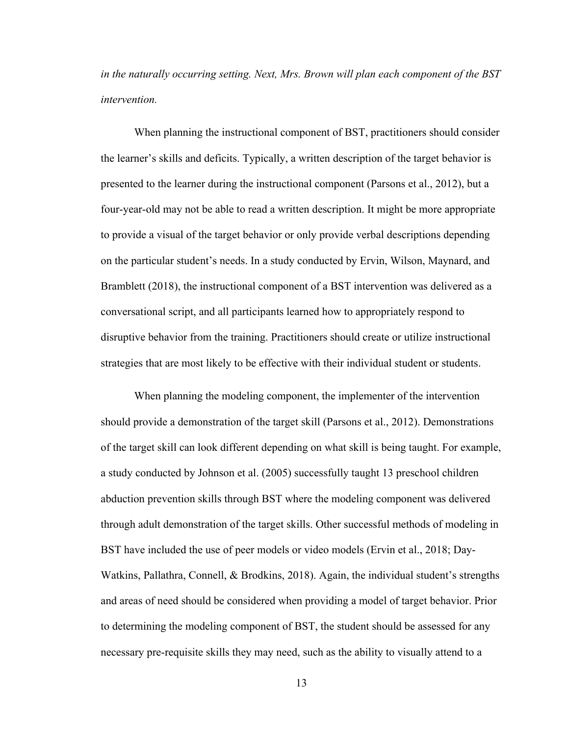*in the naturally occurring setting. Next, Mrs. Brown will plan each component of the BST intervention.* 

When planning the instructional component of BST, practitioners should consider the learner's skills and deficits. Typically, a written description of the target behavior is presented to the learner during the instructional component (Parsons et al., 2012), but a four-year-old may not be able to read a written description. It might be more appropriate to provide a visual of the target behavior or only provide verbal descriptions depending on the particular student's needs. In a study conducted by Ervin, Wilson, Maynard, and Bramblett (2018), the instructional component of a BST intervention was delivered as a conversational script, and all participants learned how to appropriately respond to disruptive behavior from the training. Practitioners should create or utilize instructional strategies that are most likely to be effective with their individual student or students.

When planning the modeling component, the implementer of the intervention should provide a demonstration of the target skill (Parsons et al., 2012). Demonstrations of the target skill can look different depending on what skill is being taught. For example, a study conducted by Johnson et al. (2005) successfully taught 13 preschool children abduction prevention skills through BST where the modeling component was delivered through adult demonstration of the target skills. Other successful methods of modeling in BST have included the use of peer models or video models (Ervin et al., 2018; Day-Watkins, Pallathra, Connell, & Brodkins, 2018). Again, the individual student's strengths and areas of need should be considered when providing a model of target behavior. Prior to determining the modeling component of BST, the student should be assessed for any necessary pre-requisite skills they may need, such as the ability to visually attend to a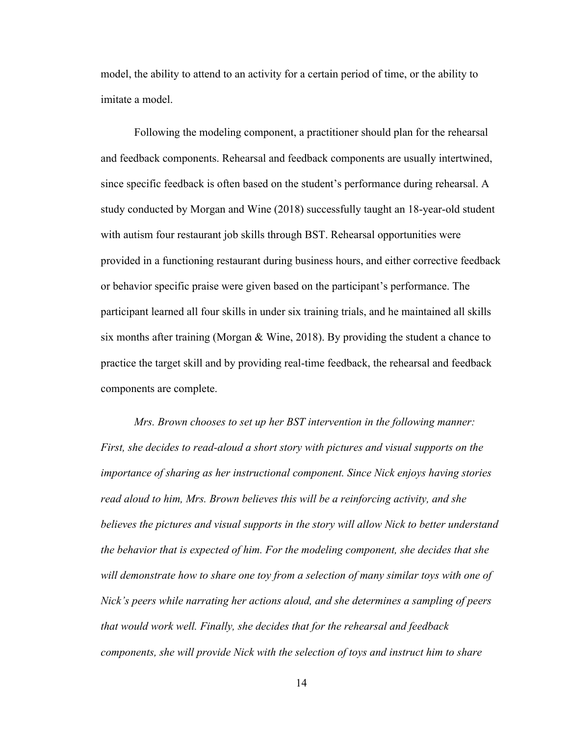model, the ability to attend to an activity for a certain period of time, or the ability to imitate a model.

Following the modeling component, a practitioner should plan for the rehearsal and feedback components. Rehearsal and feedback components are usually intertwined, since specific feedback is often based on the student's performance during rehearsal. A study conducted by Morgan and Wine (2018) successfully taught an 18-year-old student with autism four restaurant job skills through BST. Rehearsal opportunities were provided in a functioning restaurant during business hours, and either corrective feedback or behavior specific praise were given based on the participant's performance. The participant learned all four skills in under six training trials, and he maintained all skills six months after training (Morgan & Wine, 2018). By providing the student a chance to practice the target skill and by providing real-time feedback, the rehearsal and feedback components are complete.

*Mrs. Brown chooses to set up her BST intervention in the following manner: First, she decides to read-aloud a short story with pictures and visual supports on the importance of sharing as her instructional component. Since Nick enjoys having stories read aloud to him, Mrs. Brown believes this will be a reinforcing activity, and she believes the pictures and visual supports in the story will allow Nick to better understand the behavior that is expected of him. For the modeling component, she decides that she will demonstrate how to share one toy from a selection of many similar toys with one of Nick's peers while narrating her actions aloud, and she determines a sampling of peers that would work well. Finally, she decides that for the rehearsal and feedback components, she will provide Nick with the selection of toys and instruct him to share*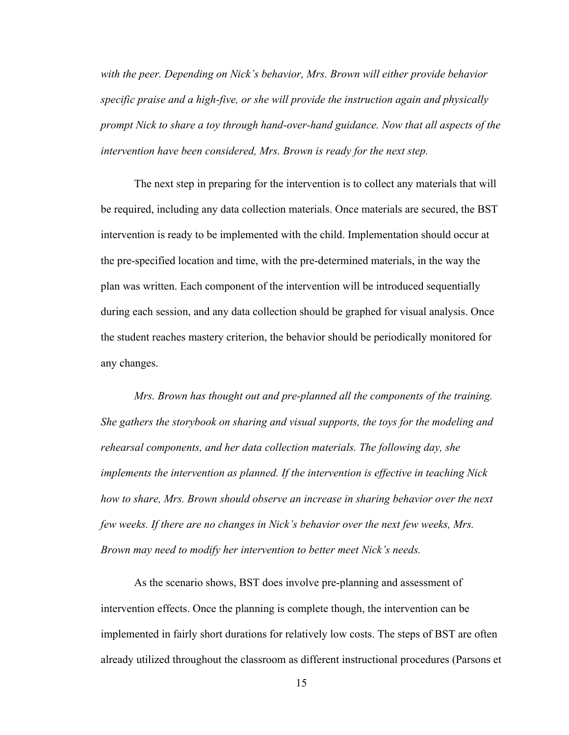*with the peer. Depending on Nick's behavior, Mrs. Brown will either provide behavior specific praise and a high-five, or she will provide the instruction again and physically prompt Nick to share a toy through hand-over-hand guidance. Now that all aspects of the intervention have been considered, Mrs. Brown is ready for the next step.* 

The next step in preparing for the intervention is to collect any materials that will be required, including any data collection materials. Once materials are secured, the BST intervention is ready to be implemented with the child. Implementation should occur at the pre-specified location and time, with the pre-determined materials, in the way the plan was written. Each component of the intervention will be introduced sequentially during each session, and any data collection should be graphed for visual analysis. Once the student reaches mastery criterion, the behavior should be periodically monitored for any changes.

*Mrs. Brown has thought out and pre-planned all the components of the training. She gathers the storybook on sharing and visual supports, the toys for the modeling and rehearsal components, and her data collection materials. The following day, she implements the intervention as planned. If the intervention is effective in teaching Nick how to share, Mrs. Brown should observe an increase in sharing behavior over the next few weeks. If there are no changes in Nick's behavior over the next few weeks, Mrs. Brown may need to modify her intervention to better meet Nick's needs.*

As the scenario shows, BST does involve pre-planning and assessment of intervention effects. Once the planning is complete though, the intervention can be implemented in fairly short durations for relatively low costs. The steps of BST are often already utilized throughout the classroom as different instructional procedures (Parsons et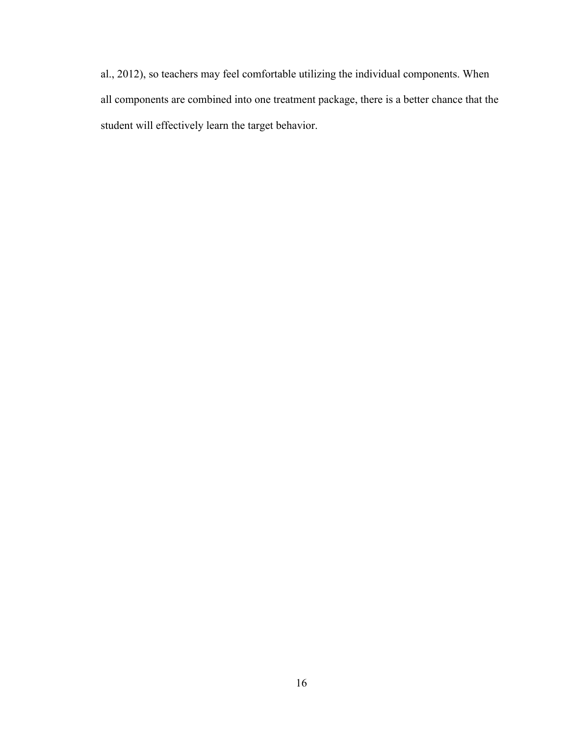al., 2012), so teachers may feel comfortable utilizing the individual components. When all components are combined into one treatment package, there is a better chance that the student will effectively learn the target behavior.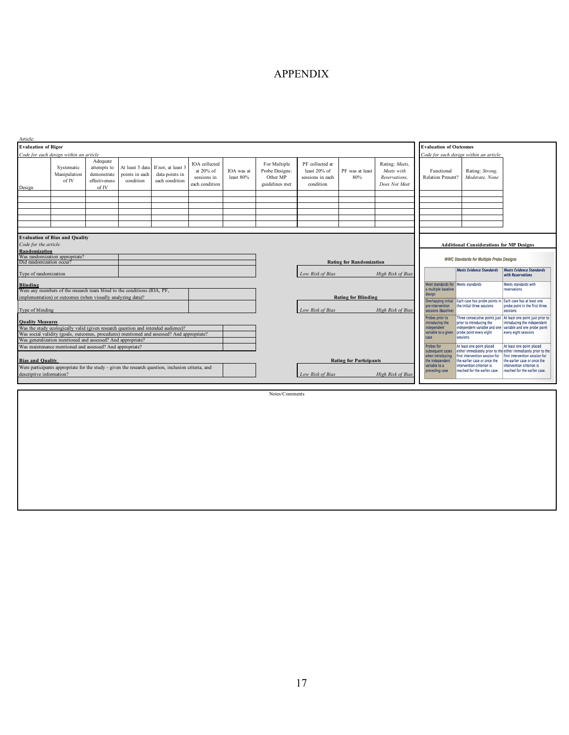# APPENDIX

| Article:                                                                                                                                                                                                                                                                  |                                        |                                                                  |                                                |                                                        |                                                             |                                 |                                                              |                                                                  |                          |                                                                                                                                  |                                                                                     |                                                                                              |                                                                                             |
|---------------------------------------------------------------------------------------------------------------------------------------------------------------------------------------------------------------------------------------------------------------------------|----------------------------------------|------------------------------------------------------------------|------------------------------------------------|--------------------------------------------------------|-------------------------------------------------------------|---------------------------------|--------------------------------------------------------------|------------------------------------------------------------------|--------------------------|----------------------------------------------------------------------------------------------------------------------------------|-------------------------------------------------------------------------------------|----------------------------------------------------------------------------------------------|---------------------------------------------------------------------------------------------|
| <b>Evaluation of Rigor</b>                                                                                                                                                                                                                                                |                                        |                                                                  |                                                |                                                        |                                                             |                                 |                                                              |                                                                  |                          |                                                                                                                                  | <b>Evaluation of Outcomes</b>                                                       |                                                                                              |                                                                                             |
|                                                                                                                                                                                                                                                                           | Code for each design within an article |                                                                  |                                                |                                                        |                                                             |                                 |                                                              |                                                                  |                          |                                                                                                                                  |                                                                                     | Code for each design within an article                                                       |                                                                                             |
| Design                                                                                                                                                                                                                                                                    | Systematic<br>Manipulation<br>of IV    | Adequate<br>attempts to<br>demonstrate<br>effectiveness<br>of IV | At least 5 data<br>points in each<br>condition | If not, at least 3<br>data points in<br>each condition | IOA collected<br>at 20% of<br>sessions in<br>each condition | IOA was at<br>least 80%         | For Multiple<br>Probe Designs:<br>Other MP<br>guidelines met | PF collected at<br>least 20% of<br>sessions in each<br>condition | PF was at least<br>80%   | Rating: Meets,<br>Meets with<br>Reservations.<br>Does Not Meet                                                                   | Functional<br>Relation Present?                                                     | Rating: Strong.<br>Moderate, None                                                            |                                                                                             |
|                                                                                                                                                                                                                                                                           |                                        |                                                                  |                                                |                                                        |                                                             |                                 |                                                              |                                                                  |                          |                                                                                                                                  |                                                                                     |                                                                                              |                                                                                             |
|                                                                                                                                                                                                                                                                           |                                        |                                                                  |                                                |                                                        |                                                             |                                 |                                                              |                                                                  |                          |                                                                                                                                  |                                                                                     |                                                                                              |                                                                                             |
|                                                                                                                                                                                                                                                                           |                                        |                                                                  |                                                |                                                        |                                                             |                                 |                                                              |                                                                  |                          |                                                                                                                                  |                                                                                     |                                                                                              |                                                                                             |
|                                                                                                                                                                                                                                                                           |                                        |                                                                  |                                                |                                                        |                                                             |                                 |                                                              |                                                                  |                          |                                                                                                                                  |                                                                                     |                                                                                              |                                                                                             |
| Code for the article                                                                                                                                                                                                                                                      | <b>Evaluation of Bias and Quality</b>  |                                                                  |                                                |                                                        |                                                             |                                 |                                                              |                                                                  |                          |                                                                                                                                  |                                                                                     | <b>Additional Considerations for MP Designs</b>                                              |                                                                                             |
| <b>Randomization</b>                                                                                                                                                                                                                                                      |                                        |                                                                  |                                                |                                                        |                                                             |                                 |                                                              |                                                                  |                          |                                                                                                                                  |                                                                                     |                                                                                              |                                                                                             |
| Was randomization appropriate?<br>Did randomization occur?                                                                                                                                                                                                                |                                        |                                                                  |                                                |                                                        |                                                             | <b>Rating for Randomization</b> |                                                              |                                                                  |                          | <b>WWC Standards for Multiple Probe Designs</b>                                                                                  |                                                                                     |                                                                                              |                                                                                             |
| Type of randomization                                                                                                                                                                                                                                                     |                                        |                                                                  |                                                |                                                        |                                                             | Low Risk of Bias                |                                                              | High Risk of Bias                                                |                          | <b>Meets Evidence Standards</b>                                                                                                  | <b>Meets Evidence Standards</b><br>with Reservations                                |                                                                                              |                                                                                             |
| <b>Blinding</b><br>Were any members of the research team blind to the conditions (IOA, PF,                                                                                                                                                                                |                                        |                                                                  |                                                |                                                        |                                                             |                                 |                                                              |                                                                  |                          |                                                                                                                                  | Meet standards for Meets standards<br>a multiple baseline                           |                                                                                              | Meets standards with<br>reservations                                                        |
| implementation) or outcomes (when visually analyzing data)?                                                                                                                                                                                                               |                                        |                                                                  |                                                |                                                        |                                                             | <b>Rating for Blinding</b>      |                                                              |                                                                  |                          | design                                                                                                                           |                                                                                     |                                                                                              |                                                                                             |
| Type of blinding                                                                                                                                                                                                                                                          |                                        |                                                                  |                                                |                                                        |                                                             |                                 | Low Risk of Bias                                             |                                                                  | <b>High Risk of Bias</b> | pre-intervention<br>sessions (Baseline)                                                                                          | Overlapping initial Each case has probe points in<br>the initial three sessions     | Each case has at least one<br>probe point in the first three<br>sessions                     |                                                                                             |
|                                                                                                                                                                                                                                                                           |                                        |                                                                  |                                                |                                                        |                                                             |                                 |                                                              |                                                                  |                          | Probes prior to                                                                                                                  | Three consecutive points just<br>prior to introducing the                           | At least one point just prior to                                                             |                                                                                             |
| <b>Ouality Measures</b><br>Was the study ecologically valid (given research question and intended audience)?<br>Was social validity (goals, outcomes, procedures) mentioned and assessed? And appropriate?<br>Was generalization mentioned and assessed? And appropriate? |                                        |                                                                  |                                                |                                                        |                                                             |                                 |                                                              |                                                                  |                          | introducing the<br>independent variable and one<br>ndependent<br>variable to a given probe point every eight<br>sessions<br>case | introducing the independent<br>variable and one probe point<br>every eight sessions |                                                                                              |                                                                                             |
| Was maintenance mentioned and assessed? And appropriate?                                                                                                                                                                                                                  |                                        |                                                                  |                                                |                                                        |                                                             |                                 |                                                              |                                                                  |                          | <b>Probes for</b><br>subsequent cases                                                                                            | At least one point placed                                                           | At least one point placed<br>either immediately prior to the either immediately prior to the |                                                                                             |
| <b>Bias and Quality</b><br>Were participants appropriate for the study - given the research question, inclusion criteria, and                                                                                                                                             |                                        |                                                                  |                                                |                                                        |                                                             |                                 | <b>Rating for Participants</b>                               |                                                                  |                          |                                                                                                                                  | when introducing<br>the independent<br>variable to a                                | first intervention session for<br>the earlier case or once the<br>intervention criterion is  | first intervention session for<br>the earlier case or once the<br>intervention criterion is |
| descriptive information?                                                                                                                                                                                                                                                  |                                        |                                                                  |                                                |                                                        |                                                             |                                 |                                                              | Low Risk of Bias                                                 |                          | High Risk of Bias                                                                                                                | preceding case                                                                      | reached for the earlier case.                                                                | reached for the earlier case.                                                               |
|                                                                                                                                                                                                                                                                           |                                        |                                                                  |                                                |                                                        |                                                             |                                 |                                                              |                                                                  |                          |                                                                                                                                  |                                                                                     |                                                                                              |                                                                                             |

Notes/Comments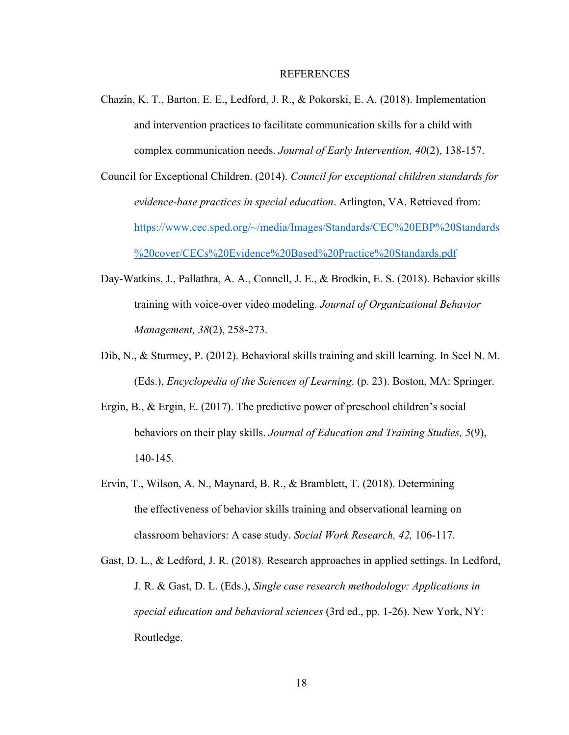#### REFERENCES

- Chazin, K. T., Barton, E. E., Ledford, J. R., & Pokorski, E. A. (2018). Implementation and intervention practices to facilitate communication skills for a child with complex communication needs. *Journal of Early Intervention, 40*(2), 138-157.
- Council for Exceptional Children. (2014). *Council for exceptional children standards for evidence-base practices in special education*. Arlington, VA. Retrieved from: https://www.cec.sped.org/~/media/Images/Standards/CEC%20EBP%20Standards %20cover/CECs%20Evidence%20Based%20Practice%20Standards.pdf
- Day-Watkins, J., Pallathra, A. A., Connell, J. E., & Brodkin, E. S. (2018). Behavior skills training with voice-over video modeling. *Journal of Organizational Behavior Management, 38*(2), 258-273.
- Dib, N., & Sturmey, P. (2012). Behavioral skills training and skill learning. In Seel N. M. (Eds.), *Encyclopedia of the Sciences of Learning*. (p. 23). Boston, MA: Springer.
- Ergin, B., & Ergin, E. (2017). The predictive power of preschool children's social behaviors on their play skills. *Journal of Education and Training Studies, 5*(9), 140-145.
- Ervin, T., Wilson, A. N., Maynard, B. R., & Bramblett, T. (2018). Determining the effectiveness of behavior skills training and observational learning on classroom behaviors: A case study. *Social Work Research, 42,* 106-117.
- Gast, D. L., & Ledford, J. R. (2018). Research approaches in applied settings. In Ledford, J. R. & Gast, D. L. (Eds.), *Single case research methodology: Applications in special education and behavioral sciences* (3rd ed., pp. 1-26). New York, NY: Routledge.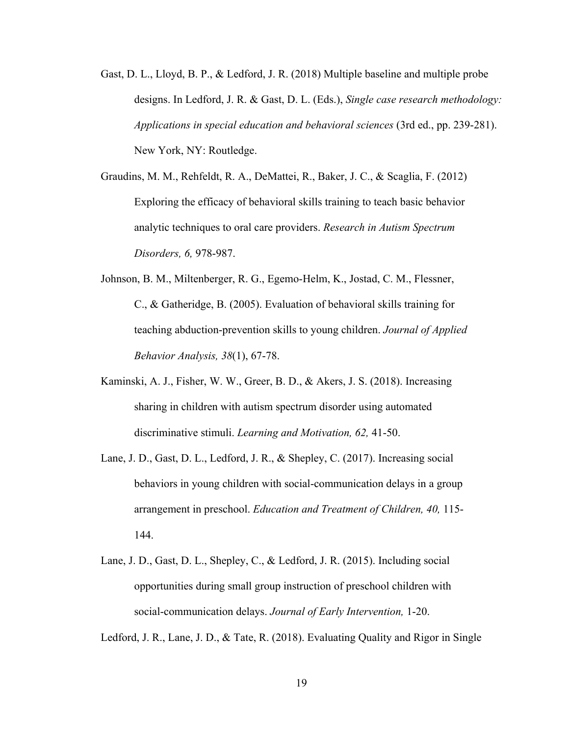- Gast, D. L., Lloyd, B. P., & Ledford, J. R. (2018) Multiple baseline and multiple probe designs. In Ledford, J. R. & Gast, D. L. (Eds.), *Single case research methodology: Applications in special education and behavioral sciences* (3rd ed., pp. 239-281). New York, NY: Routledge.
- Graudins, M. M., Rehfeldt, R. A., DeMattei, R., Baker, J. C., & Scaglia, F. (2012) Exploring the efficacy of behavioral skills training to teach basic behavior analytic techniques to oral care providers. *Research in Autism Spectrum Disorders, 6,* 978-987.
- Johnson, B. M., Miltenberger, R. G., Egemo-Helm, K., Jostad, C. M., Flessner, C., & Gatheridge, B. (2005). Evaluation of behavioral skills training for teaching abduction-prevention skills to young children. *Journal of Applied Behavior Analysis, 38*(1), 67-78.
- Kaminski, A. J., Fisher, W. W., Greer, B. D., & Akers, J. S. (2018). Increasing sharing in children with autism spectrum disorder using automated discriminative stimuli. *Learning and Motivation, 62,* 41-50.
- Lane, J. D., Gast, D. L., Ledford, J. R., & Shepley, C. (2017). Increasing social behaviors in young children with social-communication delays in a group arrangement in preschool. *Education and Treatment of Children, 40,* 115- 144.
- Lane, J. D., Gast, D. L., Shepley, C., & Ledford, J. R. (2015). Including social opportunities during small group instruction of preschool children with social-communication delays. *Journal of Early Intervention,* 1-20.

Ledford, J. R., Lane, J. D., & Tate, R. (2018). Evaluating Quality and Rigor in Single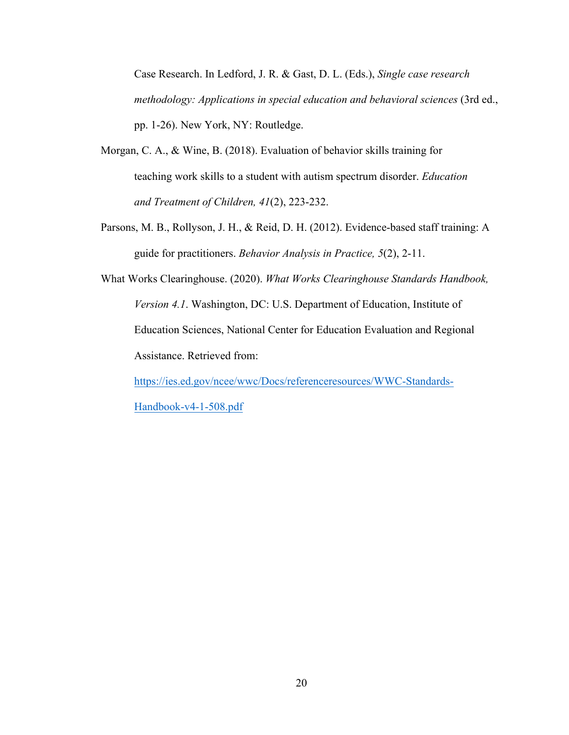Case Research. In Ledford, J. R. & Gast, D. L. (Eds.), *Single case research methodology: Applications in special education and behavioral sciences* (3rd ed., pp. 1-26). New York, NY: Routledge.

- Morgan, C. A., & Wine, B. (2018). Evaluation of behavior skills training for teaching work skills to a student with autism spectrum disorder. *Education and Treatment of Children, 41*(2), 223-232.
- Parsons, M. B., Rollyson, J. H., & Reid, D. H. (2012). Evidence-based staff training: A guide for practitioners. *Behavior Analysis in Practice, 5*(2), 2-11.
- What Works Clearinghouse. (2020). *What Works Clearinghouse Standards Handbook, Version 4.1*. Washington, DC: U.S. Department of Education, Institute of Education Sciences, National Center for Education Evaluation and Regional Assistance. Retrieved from:

https://ies.ed.gov/ncee/wwc/Docs/referenceresources/WWC-Standards-Handbook-v4-1-508.pdf